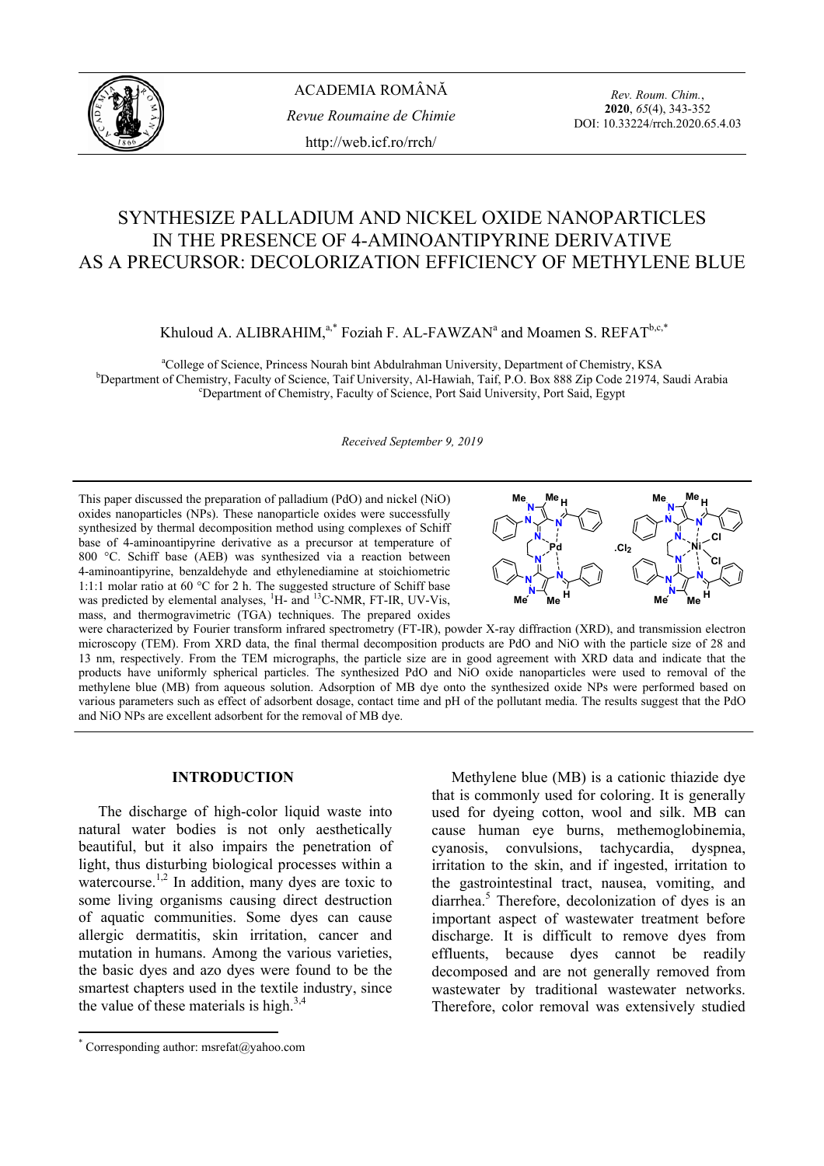

*Rev. Roum. Chim.*, **2020**, *65*(4), 343-352 DOI: 10.33224/rrch.2020.65.4.03

# SYNTHESIZE PALLADIUM AND NICKEL OXIDE NANOPARTICLES IN THE PRESENCE OF 4-AMINOANTIPYRINE DERIVATIVE AS A PRECURSOR: DECOLORIZATION EFFICIENCY OF METHYLENE BLUE

Khuloud A. ALIBRAHIM, $a^*$  Foziah F. AL-FAWZAN<sup>a</sup> and Moamen S. REFAT<sup>b,c,\*</sup>

<sup>a</sup>College of Science, Princess Nourah bint Abdulrahman University, Department of Chemistry, KSA<br><sup>b</sup>Department of Chemistry, Feaulty of Science, Teif University, Al Haujah, Teif B.O. Box 888 Zip Code 21974, S <sup>b</sup>Department of Chemistry, Faculty of Science, Taif University, Al-Hawiah, Taif, P.O. Box 888 Zip Code 21974, Saudi Arabia Department of Chemistry, Faculty of Science, Port Said University, Port Said, Egypt

*Received September 9, 2019*

This paper discussed the preparation of palladium (PdO) and nickel (NiO) oxides nanoparticles (NPs). These nanoparticle oxides were successfully synthesized by thermal decomposition method using complexes of Schiff base of 4-aminoantipyrine derivative as a precursor at temperature of 800 °C. Schiff base (AEB) was synthesized via a reaction between 4-aminoantipyrine, benzaldehyde and ethylenediamine at stoichiometric 1:1:1 molar ratio at 60 °C for 2 h. The suggested structure of Schiff base was predicted by elemental analyses, <sup>1</sup>H- and <sup>13</sup>C-NMR, FT-IR, UV-Vis, mass, and thermogravimetric (TGA) techniques. The prepared oxides



were characterized by Fourier transform infrared spectrometry (FT-IR), powder X-ray diffraction (XRD), and transmission electron microscopy (TEM). From XRD data, the final thermal decomposition products are PdO and NiO with the particle size of 28 and 13 nm, respectively. From the TEM micrographs, the particle size are in good agreement with XRD data and indicate that the products have uniformly spherical particles. The synthesized PdO and NiO oxide nanoparticles were used to removal of the methylene blue (MB) from aqueous solution. Adsorption of MB dye onto the synthesized oxide NPs were performed based on various parameters such as effect of adsorbent dosage, contact time and pH of the pollutant media. The results suggest that the PdO and NiO NPs are excellent adsorbent for the removal of MB dye.

# **INTRODUCTION\***

The discharge of high-color liquid waste into natural water bodies is not only aesthetically beautiful, but it also impairs the penetration of light, thus disturbing biological processes within a watercourse.<sup>1,2</sup> In addition, many dyes are toxic to some living organisms causing direct destruction of aquatic communities. Some dyes can cause allergic dermatitis, skin irritation, cancer and mutation in humans. Among the various varieties, the basic dyes and azo dyes were found to be the smartest chapters used in the textile industry, since the value of these materials is high. $3,4$ 

Methylene blue (MB) is a cationic thiazide dye that is commonly used for coloring. It is generally used for dyeing cotton, wool and silk. MB can cause human eye burns, methemoglobinemia, cyanosis, convulsions, tachycardia, dyspnea, irritation to the skin, and if ingested, irritation to the gastrointestinal tract, nausea, vomiting, and diarrhea.<sup>5</sup> Therefore, decolonization of dyes is an important aspect of wastewater treatment before discharge. It is difficult to remove dyes from effluents, because dyes cannot be readily decomposed and are not generally removed from wastewater by traditional wastewater networks. Therefore, color removal was extensively studied

 \* Corresponding author: msrefat@yahoo.com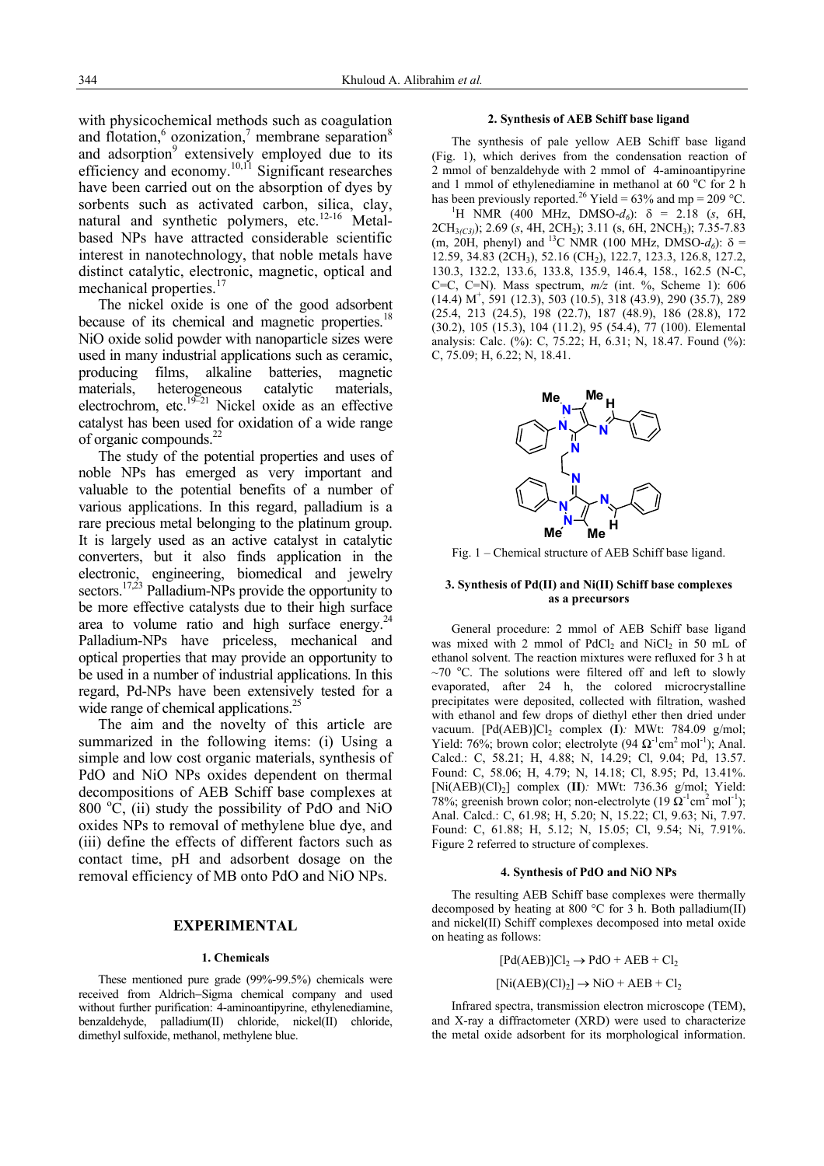with physicochemical methods such as coagulation and flotation, $6$  ozonization, $7$  membrane separation $8$ and adsorption<sup>9</sup> extensively employed due to its efficiency and economy.<sup>10,11</sup> Significant researches have been carried out on the absorption of dyes by sorbents such as activated carbon, silica, clay, natural and synthetic polymers, etc.<sup>12-16</sup> Metalbased NPs have attracted considerable scientific interest in nanotechnology, that noble metals have distinct catalytic, electronic, magnetic, optical and mechanical properties.<sup>17</sup>

The nickel oxide is one of the good adsorbent because of its chemical and magnetic properties.<sup>18</sup> NiO oxide solid powder with nanoparticle sizes were used in many industrial applications such as ceramic, producing films, alkaline batteries, magnetic materials, heterogeneous catalytic materials, electrochrom, etc. $19-21$  Nickel oxide as an effective catalyst has been used for oxidation of a wide range of organic compounds.22

The study of the potential properties and uses of noble NPs has emerged as very important and valuable to the potential benefits of a number of various applications. In this regard, palladium is a rare precious metal belonging to the platinum group. It is largely used as an active catalyst in catalytic converters, but it also finds application in the electronic, engineering, biomedical and jewelry sectors.<sup>17,23</sup> Palladium-NPs provide the opportunity to be more effective catalysts due to their high surface area to volume ratio and high surface energy. $2^2$ Palladium-NPs have priceless, mechanical and optical properties that may provide an opportunity to be used in a number of industrial applications. In this regard, Pd-NPs have been extensively tested for a wide range of chemical applications.<sup>2</sup>

The aim and the novelty of this article are summarized in the following items: (i) Using a simple and low cost organic materials, synthesis of PdO and NiO NPs oxides dependent on thermal decompositions of AEB Schiff base complexes at 800  $\degree$ C, (ii) study the possibility of PdO and NiO oxides NPs to removal of methylene blue dye, and (iii) define the effects of different factors such as contact time, pH and adsorbent dosage on the removal efficiency of MB onto PdO and NiO NPs.

#### **EXPERIMENTAL**

#### **1. Chemicals**

These mentioned pure grade (99%-99.5%) chemicals were received from Aldrich−Sigma chemical company and used without further purification: 4-aminoantipyrine, ethylenediamine, benzaldehyde, palladium(II) chloride, nickel(II) chloride, dimethyl sulfoxide, methanol, methylene blue.

#### **2. Synthesis of AEB Schiff base ligand**

The synthesis of pale yellow AEB Schiff base ligand (Fig. 1), which derives from the condensation reaction of 2 mmol of benzaldehyde with 2 mmol of 4-aminoantipyrine and 1 mmol of ethylenediamine in methanol at 60  $^{\circ}$ C for 2 h has been previously reported.<sup>26</sup> Yield = 63% and mp = 209 °C.

<sup>1</sup>H NMR (400 MHz, DMSO-*d*<sub>6</sub>): δ = 2.18 (*s*, 6H, 2CH3*(C3)*); 2.69 (*s*, 4H, 2CH2); 3.11 (s, 6H, 2NCH3); 7.35-7.83 (m, 20H, phenyl) and <sup>13</sup>C NMR (100 MHz, DMSO- $d_6$ ):  $\delta$  = 12.59, 34.83 (2CH<sub>3</sub>), 52.16 (CH<sub>2</sub>), 122.7, 123.3, 126.8, 127.2, 130.3, 132.2, 133.6, 133.8, 135.9, 146.4, 158., 162.5 (N-C, C=C, C=N). Mass spectrum, *m/z* (int. %, Scheme 1): 606  $(14.4)$  M<sup>+</sup>, 591  $(12.3)$ , 503  $(10.5)$ , 318  $(43.9)$ , 290  $(35.7)$ , 289 (25.4, 213 (24.5), 198 (22.7), 187 (48.9), 186 (28.8), 172 (30.2), 105 (15.3), 104 (11.2), 95 (54.4), 77 (100). Elemental analysis: Calc. (%): C, 75.22; H, 6.31; N, 18.47. Found (%): C, 75.09; H, 6.22; N, 18.41.



Fig. 1 – Chemical structure of AEB Schiff base ligand.

#### **3. Synthesis of Pd(II) and Ni(II) Schiff base complexes as a precursors**

General procedure: 2 mmol of AEB Schiff base ligand was mixed with 2 mmol of  $PdCl<sub>2</sub>$  and  $NiCl<sub>2</sub>$  in 50 mL of ethanol solvent. The reaction mixtures were refluxed for 3 h at  $\sim$ 70 °C. The solutions were filtered off and left to slowly evaporated, after 24 h, the colored microcrystalline precipitates were deposited, collected with filtration, washed with ethanol and few drops of diethyl ether then dried under vacuum. [Pd(AEB)]Cl<sub>2</sub> complex (I): MWt: 784.09 g/mol; Yield: 76%; brown color; electrolyte (94  $\Omega^{-1}$ cm<sup>2</sup> mol<sup>-1</sup>); Anal. Calcd.: C, 58.21; H, 4.88; N, 14.29; Cl, 9.04; Pd, 13.57. Found: C, 58.06; H, 4.79; N, 14.18; Cl, 8.95; Pd, 13.41%. [Ni(AEB)(Cl)2] complex (**II**)*:* MWt: 736.36 g/mol; Yield: 78%; greenish brown color; non-electrolyte (19  $\Omega^{-1}$ cm<sup>2</sup> mol<sup>-1</sup>); Anal. Calcd.: C, 61.98; H, 5.20; N, 15.22; Cl, 9.63; Ni, 7.97. Found: C, 61.88; H, 5.12; N, 15.05; Cl, 9.54; Ni, 7.91%. Figure 2 referred to structure of complexes.

#### **4. Synthesis of PdO and NiO NPs**

The resulting AEB Schiff base complexes were thermally decomposed by heating at 800 °C for 3 h. Both palladium(II) and nickel(II) Schiff complexes decomposed into metal oxide on heating as follows:

> $[Pd(AEB)]Cl_2 \rightarrow PdO + AEB + Cl_2$  $[Ni(AEB)(Cl)<sub>2</sub>] \rightarrow NiO + AEB + Cl<sub>2</sub>$

Infrared spectra, transmission electron microscope (TEM), and X-ray a diffractometer (XRD) were used to characterize the metal oxide adsorbent for its morphological information.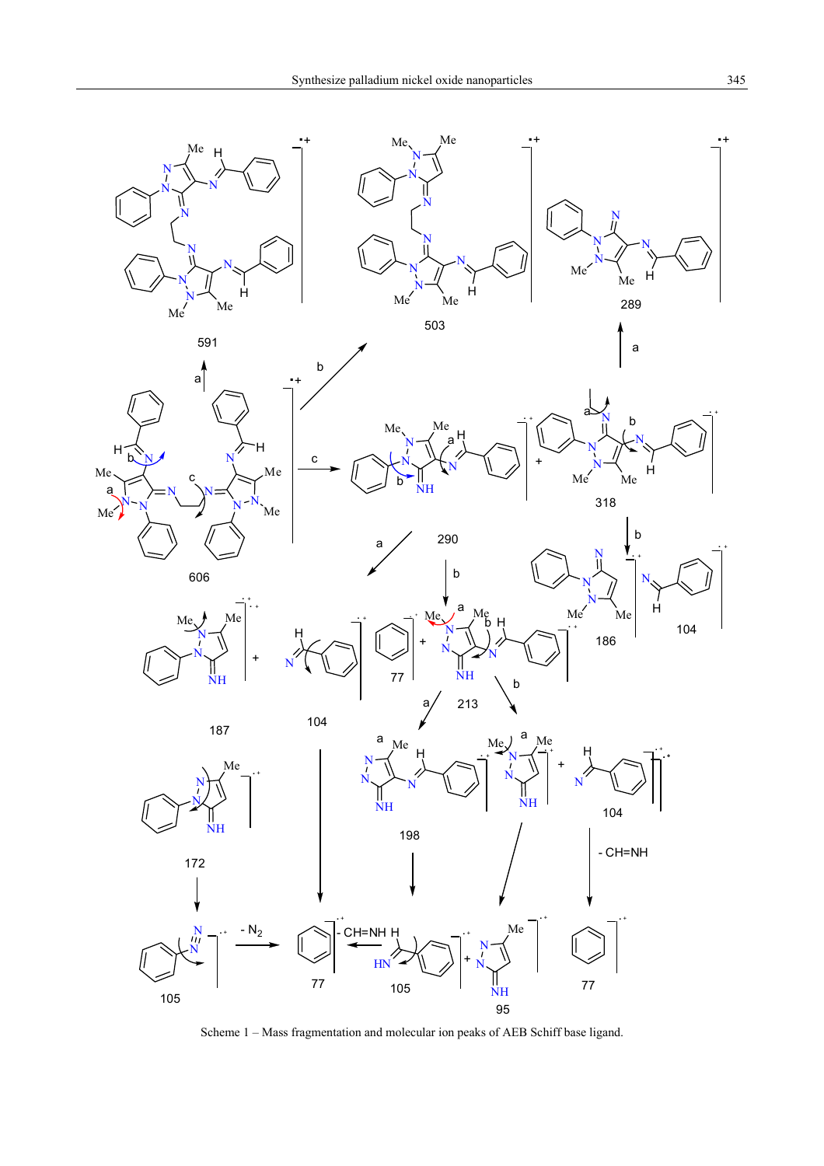

Scheme 1 – Mass fragmentation and molecular ion peaks of AEB Schiff base ligand.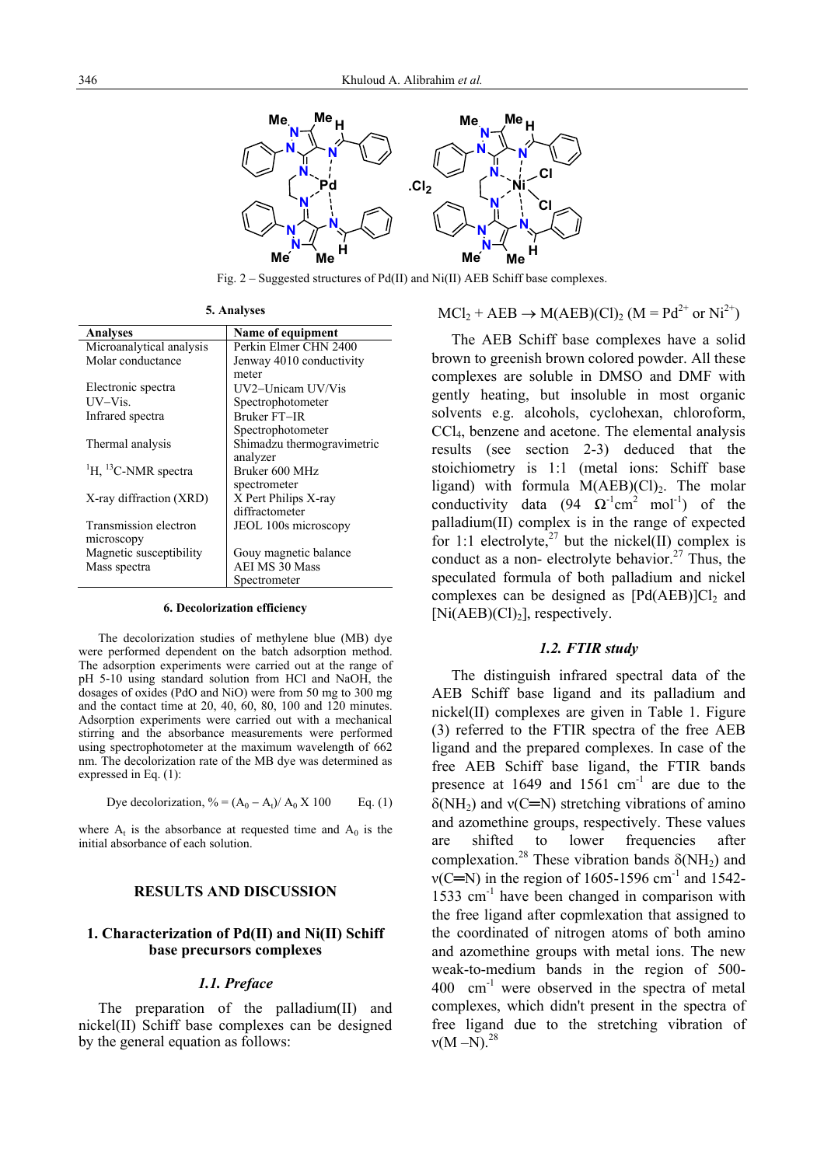

Fig.  $2 -$  Suggested structures of Pd(II) and Ni(II) AEB Schiff base complexes.

| <b>5. Analyses</b> |
|--------------------|
|--------------------|

| <b>Analyses</b>                             | Name of equipment          |  |  |
|---------------------------------------------|----------------------------|--|--|
| Microanalytical analysis                    | Perkin Elmer CHN 2400      |  |  |
| Molar conductance                           | Jenway 4010 conductivity   |  |  |
|                                             | meter                      |  |  |
| Electronic spectra                          | UV2-Unicam UV/Vis          |  |  |
| UV–Vis.                                     | Spectrophotometer          |  |  |
| Infrared spectra                            | <b>Bruker FT-IR</b>        |  |  |
|                                             | Spectrophotometer          |  |  |
| Thermal analysis                            | Shimadzu thermogravimetric |  |  |
|                                             | analyzer                   |  |  |
| <sup>1</sup> H, <sup>13</sup> C-NMR spectra | Bruker 600 MHz             |  |  |
|                                             | spectrometer               |  |  |
| X-ray diffraction (XRD)                     | X Pert Philips X-ray       |  |  |
|                                             | diffractometer             |  |  |
| Transmission electron                       | JEOL 100s microscopy       |  |  |
| microscopy                                  |                            |  |  |
| Magnetic susceptibility                     | Gouy magnetic balance      |  |  |
| Mass spectra                                | <b>AEI MS 30 Mass</b>      |  |  |
|                                             | Spectrometer               |  |  |

#### **6. Decolorization efficiency**

The decolorization studies of methylene blue (MB) dye were performed dependent on the batch adsorption method. The adsorption experiments were carried out at the range of pH 5-10 using standard solution from HCl and NaOH, the dosages of oxides (PdO and NiO) were from 50 mg to 300 mg and the contact time at 20, 40, 60, 80, 100 and 120 minutes. Adsorption experiments were carried out with a mechanical stirring and the absorbance measurements were performed using spectrophotometer at the maximum wavelength of 662 nm. The decolorization rate of the MB dye was determined as expressed in Eq. (1):

Dye decolorization, 
$$
\% = (A_0 - A_t)/A_0 \times 100
$$
 Eq. (1)

where  $A_t$  is the absorbance at requested time and  $A_0$  is the initial absorbance of each solution.

# **RESULTS AND DISCUSSION**

# **1. Characterization of Pd(II) and Ni(II) Schiff base precursors complexes**

#### *1.1. Preface*

The preparation of the palladium(II) and nickel(II) Schiff base complexes can be designed by the general equation as follows:

$$
MCl_2 + AEB \rightarrow M(AEB)(Cl)_2 (M = Pd^{2+} \text{ or } Ni^{2+})
$$

 The AEB Schiff base complexes have a solid brown to greenish brown colored powder. All these complexes are soluble in DMSO and DMF with gently heating, but insoluble in most organic solvents e.g. alcohols, cyclohexan, chloroform, CCl4, benzene and acetone. The elemental analysis results (see section 2-3) deduced that the stoichiometry is 1:1 (metal ions: Schiff base ligand) with formula  $M(AEB)(Cl)<sub>2</sub>$ . The molar conductivity data (94  $\Omega^{-1}$ cm<sup>2</sup> mol<sup>-1</sup>) of the palladium(II) complex is in the range of expected for 1:1 electrolyte,<sup>27</sup> but the nickel(II) complex is conduct as a non- electrolyte behavior.<sup>27</sup> Thus, the speculated formula of both palladium and nickel complexes can be designed as  $[Pd(AEB)]Cl<sub>2</sub>$  and  $[Ni(AEB)(Cl)<sub>2</sub>]$ , respectively.

# *1.2. FTIR study*

The distinguish infrared spectral data of the AEB Schiff base ligand and its palladium and nickel(II) complexes are given in Table 1. Figure (3) referred to the FTIR spectra of the free AEB ligand and the prepared complexes. In case of the free AEB Schiff base ligand, the FTIR bands presence at  $1649$  and  $1561$  cm<sup>-1</sup> are due to the  $\delta(NH_2)$  and  $\nu(C=N)$  stretching vibrations of amino and azomethine groups, respectively. These values are shifted to lower frequencies after complexation.<sup>28</sup> These vibration bands  $\delta(NH_2)$  and  $v(C=N)$  in the region of 1605-1596 cm<sup>-1</sup> and 1542-1533  $cm<sup>-1</sup>$  have been changed in comparison with the free ligand after copmlexation that assigned to the coordinated of nitrogen atoms of both amino and azomethine groups with metal ions. The new weak-to-medium bands in the region of 500-  $400$  cm<sup>-1</sup> were observed in the spectra of metal complexes, which didn't present in the spectra of free ligand due to the stretching vibration of  $v(M-N)^{28}$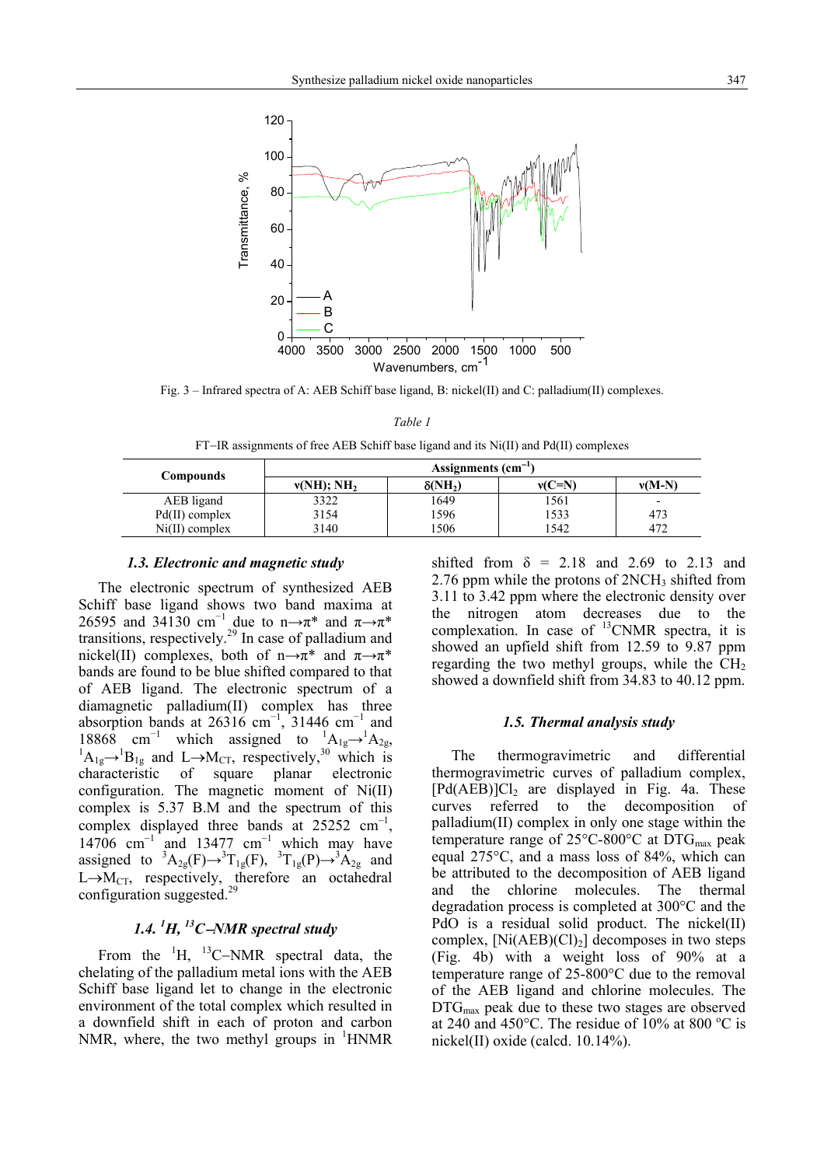

Fig. 3 – Infrared spectra of A: AEB Schiff base ligand, B: nickel(II) and C: palladium(II) complexes.

*Table 1*

FT−IR assignments of free AEB Schiff base ligand and its Ni(II) and Pd(II) complexes

| <b>Compounds</b> | Assignments $(cm-1)$      |                |          |          |  |
|------------------|---------------------------|----------------|----------|----------|--|
|                  | $v(NH)$ ; NH <sub>2</sub> | $\delta(NH_2)$ | $v(C=N)$ | $v(M-N)$ |  |
| AEB ligand       | 3322                      | 1649           | 1561     |          |  |
| $Pd(II)$ complex | 3154                      | 1596           | 1533     | 473      |  |
| $Ni(II)$ complex | 3140                      | 506            | 1542     | 472      |  |

## *1.3. Electronic and magnetic study*

The electronic spectrum of synthesized AEB Schiff base ligand shows two band maxima at 26595 and 34130 cm<sup>-1</sup> due to n→π<sup>\*</sup> and  $\pi \rightarrow \pi^*$ transitions, respectively.<sup>29</sup> In case of palladium and nickel(II) complexes, both of n $\rightarrow \pi^*$  and  $\pi \rightarrow \pi^*$ bands are found to be blue shifted compared to that of AEB ligand. The electronic spectrum of a diamagnetic palladium(II) complex has three absorption bands at 26316 cm<sup>-1</sup>, 31446 cm<sup>-1</sup> and 18868 cm<sup>-1</sup> which assigned to  ${}^{1}A_{1g} \rightarrow {}^{1}A_{2g}$ ,<br><sup>1</sup>A<sub>1</sub> lP and L M representively <sup>30</sup> which is  $A_{1g} \rightarrow {}^{1}B_{1g}$  and  $L \rightarrow M_{CT}$ , respectively,<sup>30</sup> which is characteristic of square planar electronic configuration. The magnetic moment of Ni(II) complex is 5.37 B.M and the spectrum of this complex displayed three bands at  $25252 \text{ cm}^{-1}$ , 14706  $cm^{-1}$  and 13477  $cm^{-1}$  which may have assigned to  ${}^{3}A_{2g}(F) \rightarrow {}^{3}T_{1g}(F)$ ,  ${}^{3}T_{1g}(P) \rightarrow {}^{3}A_{2g}$  and  $L \rightarrow M_{CT}$ , respectively, therefore an octahedral configuration suggested.<sup>29</sup>

# *1.4. 1 H, 13C*−*NMR spectral study*

From the  ${}^{1}H$ ,  ${}^{13}C$ –NMR spectral data, the chelating of the palladium metal ions with the AEB Schiff base ligand let to change in the electronic environment of the total complex which resulted in a downfield shift in each of proton and carbon NMR, where, the two methyl groups in  $\mathrm{^{1}HNMR}$  shifted from  $\delta = 2.18$  and 2.69 to 2.13 and 2.76 ppm while the protons of  $2NCH_3$  shifted from 3.11 to 3.42 ppm where the electronic density over the nitrogen atom decreases due to the complexation. In case of  $^{13}$ CNMR spectra, it is showed an upfield shift from 12.59 to 9.87 ppm regarding the two methyl groups, while the  $CH<sub>2</sub>$ showed a downfield shift from 34.83 to 40.12 ppm.

#### *1.5. Thermal analysis study*

The thermogravimetric and differential thermogravimetric curves of palladium complex,  $[Pd(AEB)]Cl<sub>2</sub>$  are displayed in Fig. 4a. These curves referred to the decomposition of palladium(II) complex in only one stage within the temperature range of  $25^{\circ}$ C-800 $^{\circ}$ C at DTG<sub>max</sub> peak equal 275°C, and a mass loss of 84%, which can be attributed to the decomposition of AEB ligand and the chlorine molecules. The thermal degradation process is completed at 300°C and the PdO is a residual solid product. The nickel(II) complex,  $[Ni(AEB)(Cl)<sub>2</sub>]$  decomposes in two steps (Fig. 4b) with a weight loss of 90% at a temperature range of 25-800°C due to the removal of the AEB ligand and chlorine molecules. The DTG<sub>max</sub> peak due to these two stages are observed at 240 and 450°C. The residue of  $10\%$  at 800 °C is nickel(II) oxide (calcd. 10.14%).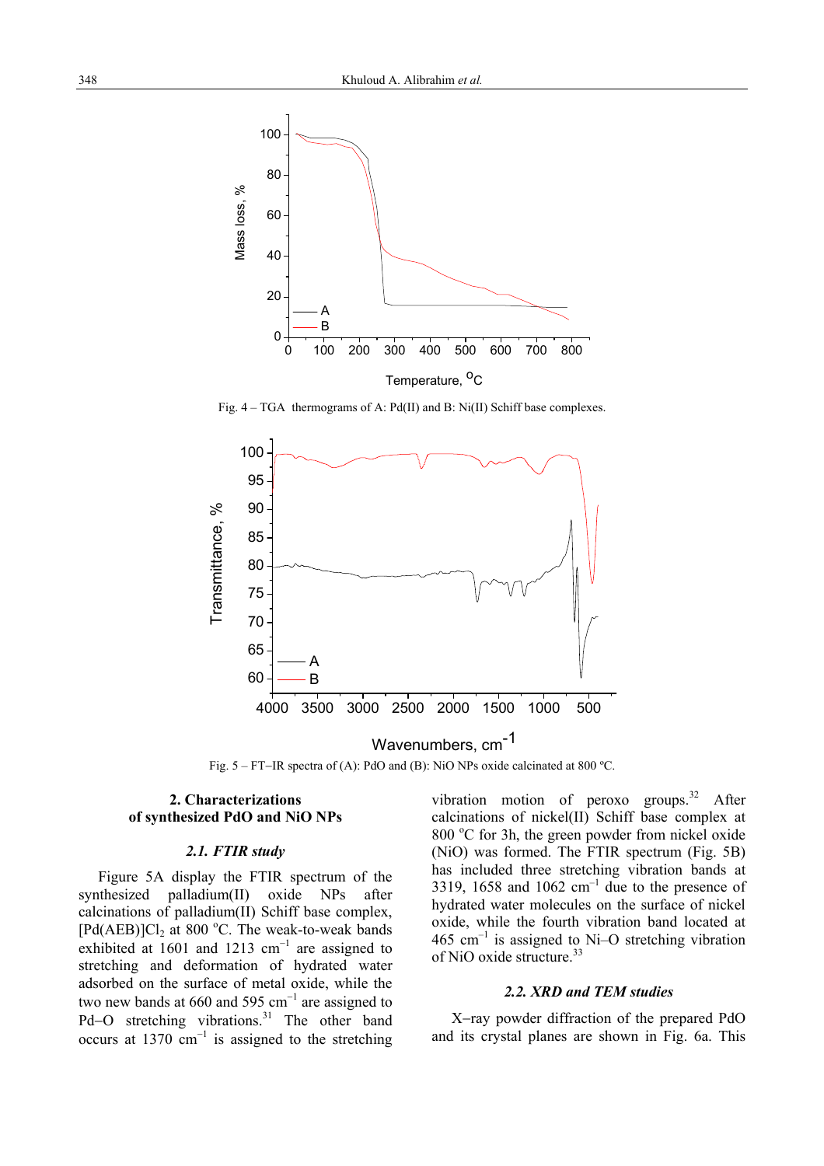

Fig.  $4 - TGA$  thermograms of A: Pd(II) and B: Ni(II) Schiff base complexes.



Fig. 5 – FT−IR spectra of (A): PdO and (B): NiO NPs oxide calcinated at 800 ºC.

# **2. Characterizations of synthesized PdO and NiO NPs**

# *2.1. FTIR study*

Figure 5A display the FTIR spectrum of the synthesized palladium(II) oxide NPs after calcinations of palladium(II) Schiff base complex,  $[Pd(AEB)]Cl<sub>2</sub>$  at 800 °C. The weak-to-weak bands exhibited at 1601 and 1213  $cm^{-1}$  are assigned to stretching and deformation of hydrated water adsorbed on the surface of metal oxide, while the two new bands at 660 and 595  $cm^{-1}$  are assigned to Pd–O stretching vibrations.<sup>31</sup> The other band occurs at 1370  $cm^{-1}$  is assigned to the stretching vibration motion of peroxo groups. $32$  After calcinations of nickel(II) Schiff base complex at 800 °C for 3h, the green powder from nickel oxide (NiO) was formed. The FTIR spectrum (Fig. 5B) has included three stretching vibration bands at 3319, 1658 and 1062  $cm^{-1}$  due to the presence of hydrated water molecules on the surface of nickel oxide, while the fourth vibration band located at 465  $cm^{-1}$  is assigned to Ni–O stretching vibration of NiO oxide structure.<sup>33</sup>

# *2.2. XRD and TEM studies*

X−ray powder diffraction of the prepared PdO and its crystal planes are shown in Fig. 6a. This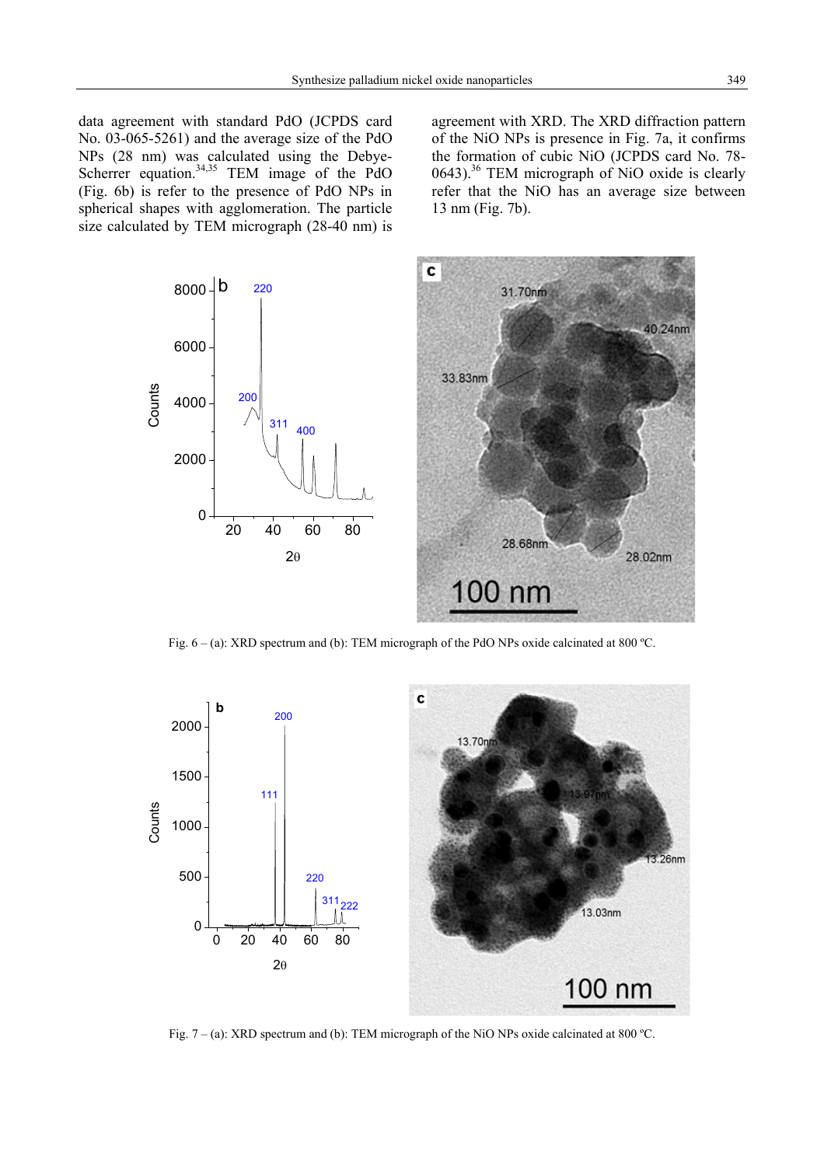data agreement with standard PdO (JCPDS card No. 03-065-5261) and the average size of the PdO NPs (28 nm) was calculated using the Debye-Scherrer equation. $34,35$  TEM image of the PdO (Fig. 6b) is refer to the presence of PdO NPs in spherical shapes with agglomeration. The particle size calculated by TEM micrograph (28-40 nm) is

agreement with XRD. The XRD diffraction pattern of the NiO NPs is presence in Fig. 7a, it confirms the formation of cubic NiO (JCPDS card No. 78-  $0643$ .<sup>36</sup> TEM micrograph of NiO oxide is clearly refer that the NiO has an average size between 13 nm (Fig. 7b).



Fig.  $6 - (a)$ : XRD spectrum and (b): TEM micrograph of the PdO NPs oxide calcinated at 800 °C.



Fig. 7 – (a): XRD spectrum and (b): TEM micrograph of the NiO NPs oxide calcinated at 800 ºC.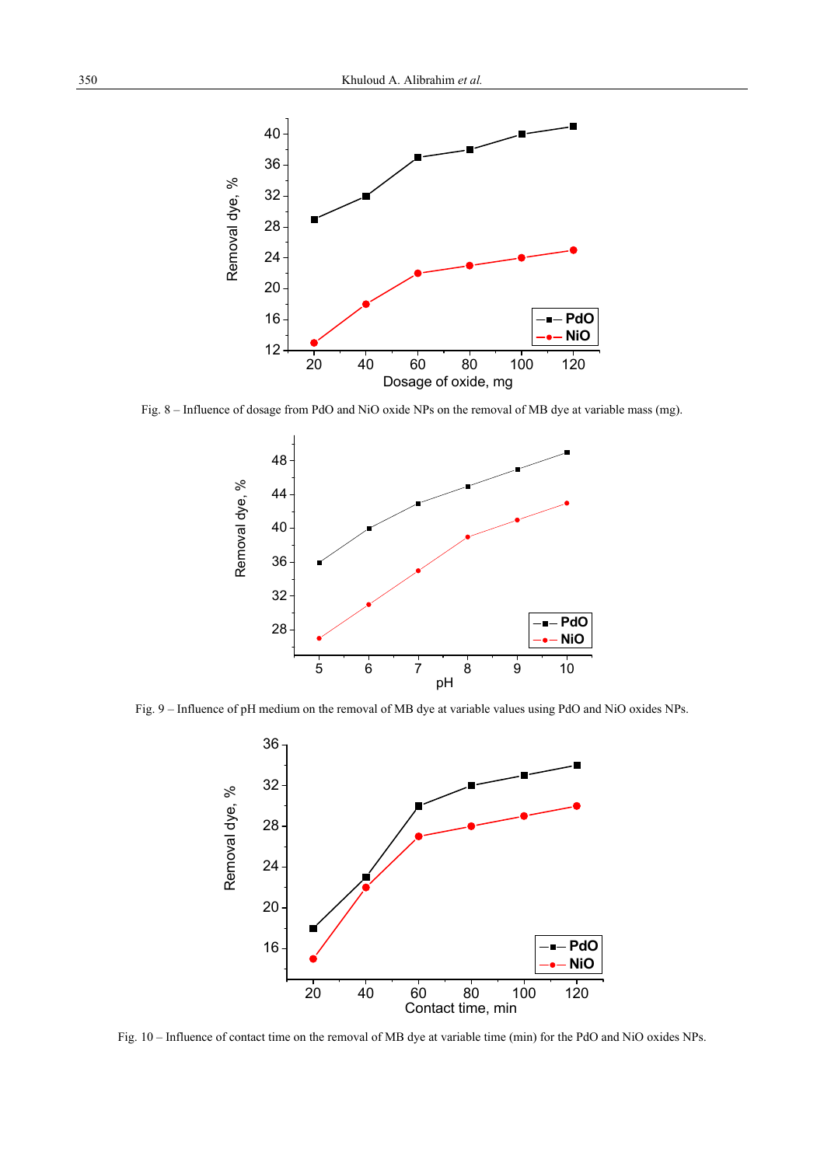

Fig. 8 – Influence of dosage from PdO and NiO oxide NPs on the removal of MB dye at variable mass (mg).



Fig. 9 – Influence of pH medium on the removal of MB dye at variable values using PdO and NiO oxides NPs.



Fig. 10 – Influence of contact time on the removal of MB dye at variable time (min) for the PdO and NiO oxides NPs.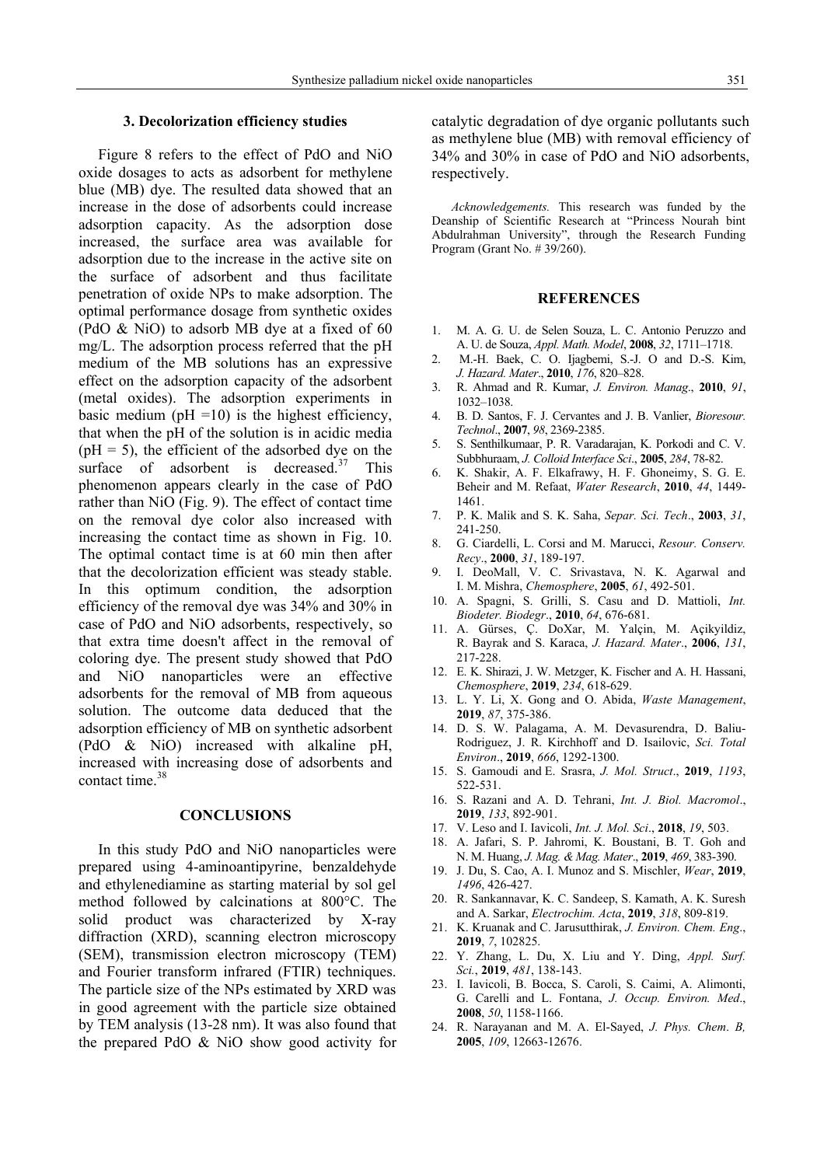# **3. Decolorization efficiency studies**

Figure 8 refers to the effect of PdO and NiO oxide dosages to acts as adsorbent for methylene blue (MB) dye. The resulted data showed that an increase in the dose of adsorbents could increase adsorption capacity. As the adsorption dose increased, the surface area was available for adsorption due to the increase in the active site on the surface of adsorbent and thus facilitate penetration of oxide NPs to make adsorption. The optimal performance dosage from synthetic oxides (PdO & NiO) to adsorb MB dye at a fixed of 60 mg/L. The adsorption process referred that the pH medium of the MB solutions has an expressive effect on the adsorption capacity of the adsorbent (metal oxides). The adsorption experiments in basic medium ( $pH = 10$ ) is the highest efficiency, that when the pH of the solution is in acidic media  $(pH = 5)$ , the efficient of the adsorbed dye on the surface of adsorbent is decreased. $37$  This phenomenon appears clearly in the case of PdO rather than NiO (Fig. 9). The effect of contact time on the removal dye color also increased with increasing the contact time as shown in Fig. 10. The optimal contact time is at 60 min then after that the decolorization efficient was steady stable. In this optimum condition, the adsorption efficiency of the removal dye was 34% and 30% in case of PdO and NiO adsorbents, respectively, so that extra time doesn't affect in the removal of coloring dye. The present study showed that PdO and NiO nanoparticles were an effective adsorbents for the removal of MB from aqueous solution. The outcome data deduced that the adsorption efficiency of MB on synthetic adsorbent (PdO & NiO) increased with alkaline pH, increased with increasing dose of adsorbents and contact time.38

#### **CONCLUSIONS**

In this study PdO and NiO nanoparticles were prepared using 4-aminoantipyrine, benzaldehyde and ethylenediamine as starting material by sol gel method followed by calcinations at 800°C. The solid product was characterized by X-ray diffraction (XRD), scanning electron microscopy (SEM), transmission electron microscopy (TEM) and Fourier transform infrared (FTIR) techniques. The particle size of the NPs estimated by XRD was in good agreement with the particle size obtained by TEM analysis (13-28 nm). It was also found that the prepared PdO & NiO show good activity for

catalytic degradation of dye organic pollutants such as methylene blue (MB) with removal efficiency of 34% and 30% in case of PdO and NiO adsorbents, respectively.

*Acknowledgements.* This research was funded by the Deanship of Scientific Research at "Princess Nourah bint Abdulrahman University", through the Research Funding Program (Grant No. # 39/260).

## **REFERENCES**

- 1. M. A. G. U. de Selen Souza, L. C. Antonio Peruzzo and A. U. de Souza, *Appl. Math. Model*, **2008**, *32*, 1711–1718.
- 2. M.-H. Baek, C. O. Ijagbemi, S.-J. O and D.-S. Kim, *J. Hazard. Mater*., **2010**, *176*, 820–828.
- 3. R. Ahmad and R. Kumar, *J. Environ. Manag*., **2010**, *91*, 1032–1038.
- 4. B. D. Santos, F. J. Cervantes and J. B. Vanlier, *Bioresour. Technol*., **2007**, *98*, 2369-2385.
- 5. S. Senthilkumaar, P. R. Varadarajan, K. Porkodi and C. V. Subbhuraam, *J. Colloid Interface Sci*., **2005**, *284*, 78-82.
- 6. K. Shakir, A. F. Elkafrawy, H. F. Ghoneimy, S. G. E. Beheir and M. Refaat, *Water Research*, **2010**, *44*, 1449- 1461.
- 7. P. K. Malik and S. K. Saha, *Separ. Sci. Tech*., **2003**, *31*, 241-250.
- 8. G. Ciardelli, L. Corsi and M. Marucci, *Resour. Conserv. Recy*., **2000**, *31*, 189-197.
- 9. I. DeoMall, V. C. Srivastava, N. K. Agarwal and I. M. Mishra, *Chemosphere*, **2005**, *61*, 492-501.
- 10. A. Spagni, S. Grilli, S. Casu and D. Mattioli, *Int. Biodeter. Biodegr*., **2010**, *64*, 676-681.
- 11. A. Gürses, Ç. DoXar, M. Yalçin, M. Açikyildiz, R. Bayrak and S. Karaca, *J. Hazard. Mater*., **2006**, *131*, 217-228.
- 12. E. K. Shirazi, J. W. Metzger, K. Fischer and A. H. Hassani, *Chemosphere*, **2019**, *234*, 618-629.
- 13. L. Y. Li, X. Gong and O. Abida, *Waste Management*, **2019**, *87*, 375-386.
- 14. D. S. W. Palagama, A. M. Devasurendra, D. Baliu-Rodriguez, J. R. Kirchhoff and D. Isailovic, *Sci. Total Environ*., **2019**, *666*, 1292-1300.
- 15. S. Gamoudi and E. Srasra, *J. Mol. Struct*., **2019**, *1193*, 522-531.
- 16. S. Razani and A. D. Tehrani, *Int. J. Biol. Macromol*., **2019**, *133*, 892-901.
- 17. V. Leso and I. Iavicoli, *Int. J. Mol. Sci*., **2018**, *19*, 503.
- 18. A. Jafari, S. P. Jahromi, K. Boustani, B. T. Goh and N. M. Huang, *J. Mag. & Mag. Mater*., **2019**, *469*, 383-390.
- 19. J. Du, S. Cao, A. I. Munoz and S. Mischler, *Wear*, **2019**, *1496*, 426-427.
- 20. R. Sankannavar, K. C. Sandeep, S. Kamath, A. K. Suresh and A. Sarkar, *Electrochim. Acta*, **2019**, *318*, 809-819.
- 21. K. Kruanak and C. Jarusutthirak, *J. Environ. Chem. Eng*., **2019**, *7*, 102825.
- 22. Y. Zhang, L. Du, X. Liu and Y. Ding, *Appl. Surf. Sci.*, **2019**, *481*, 138-143.
- 23. I. Iavicoli, B. Bocca, S. Caroli, S. Caimi, A. Alimonti, G. Carelli and L. Fontana, *J. Occup. Environ. Med*., **2008**, *50*, 1158-1166.
- 24. R. Narayanan and M. A. El-Sayed, *J. Phys. Chem*. *B,* **2005**, *109*, 12663-12676.